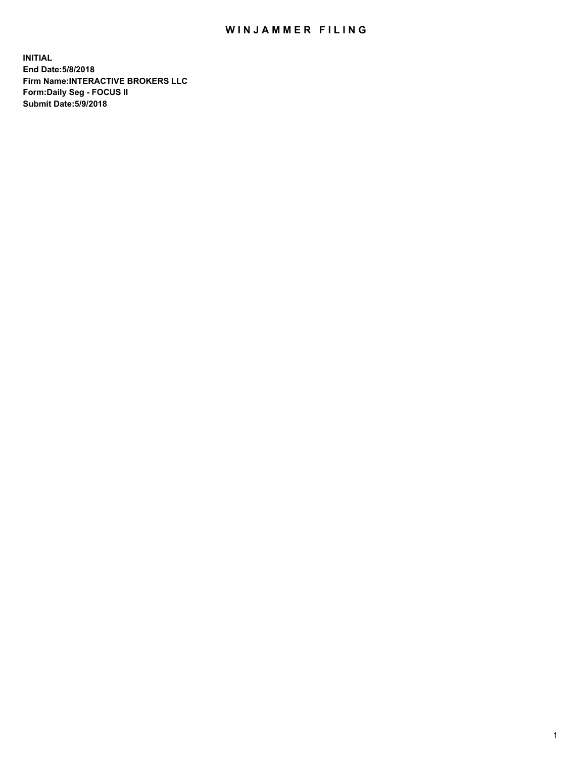## WIN JAMMER FILING

**INITIAL End Date:5/8/2018 Firm Name:INTERACTIVE BROKERS LLC Form:Daily Seg - FOCUS II Submit Date:5/9/2018**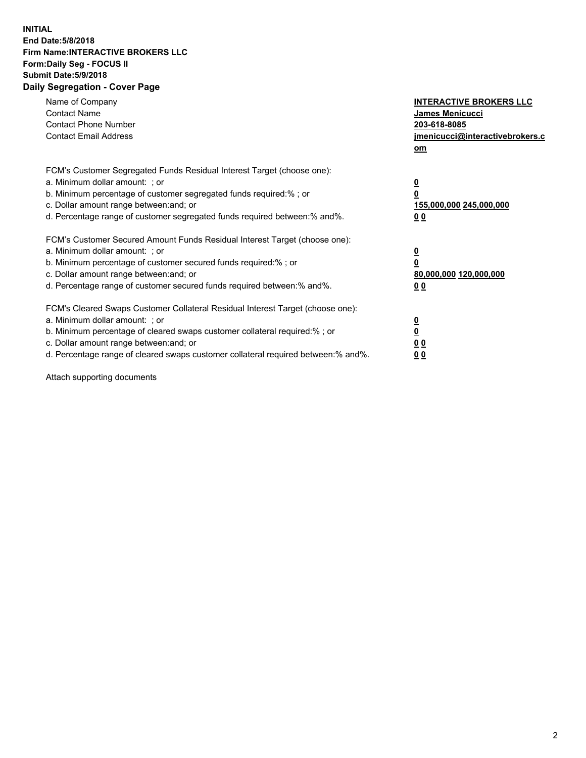## **INITIAL End Date:5/8/2018 Firm Name:INTERACTIVE BROKERS LLC Form:Daily Seg - FOCUS II Submit Date:5/9/2018 Daily Segregation - Cover Page**

| Name of Company<br><b>Contact Name</b><br><b>Contact Phone Number</b><br><b>Contact Email Address</b>                                                                                                                                                                                                                          | <b>INTERACTIVE BROKERS LLC</b><br>James Menicucci<br>203-618-8085<br>jmenicucci@interactivebrokers.c<br>om |
|--------------------------------------------------------------------------------------------------------------------------------------------------------------------------------------------------------------------------------------------------------------------------------------------------------------------------------|------------------------------------------------------------------------------------------------------------|
| FCM's Customer Segregated Funds Residual Interest Target (choose one):<br>a. Minimum dollar amount: ; or<br>b. Minimum percentage of customer segregated funds required:%; or<br>c. Dollar amount range between: and; or<br>d. Percentage range of customer segregated funds required between:% and%.                          | $\overline{\mathbf{0}}$<br>$\overline{\mathbf{0}}$<br>155,000,000 245,000,000<br>00                        |
| FCM's Customer Secured Amount Funds Residual Interest Target (choose one):<br>a. Minimum dollar amount: ; or<br>b. Minimum percentage of customer secured funds required:%; or<br>c. Dollar amount range between: and; or<br>d. Percentage range of customer secured funds required between: % and %.                          | $\overline{\mathbf{0}}$<br>0<br>80,000,000 120,000,000<br>00                                               |
| FCM's Cleared Swaps Customer Collateral Residual Interest Target (choose one):<br>a. Minimum dollar amount: ; or<br>b. Minimum percentage of cleared swaps customer collateral required:% ; or<br>c. Dollar amount range between: and; or<br>d. Percentage range of cleared swaps customer collateral required between:% and%. | $\overline{\mathbf{0}}$<br>$\underline{\mathbf{0}}$<br>0 <sub>0</sub><br>0 <sub>0</sub>                    |

Attach supporting documents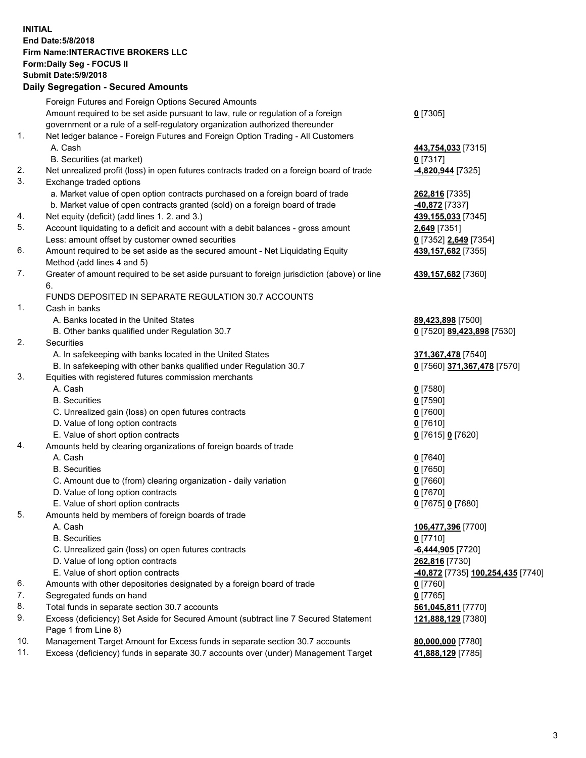## **INITIAL End Date:5/8/2018 Firm Name:INTERACTIVE BROKERS LLC Form:Daily Seg - FOCUS II Submit Date:5/9/2018 Daily Segregation - Secured Amounts**

|     | $-$ 0.000 $-$ 0.000 $-$ 0.000 $-$ 0.000 $-$ 0.000 $-$ 0.000 $-$ 0.000 $-$ 0.000 $-$ 0.000 $-$ 0.000 $-$ 0.000 $-$ 0.000 $-$ 0.000 $-$ 0.000 $-$ 0.000 $-$ 0.000 $-$ 0.000 $-$ 0.000 $-$ 0.000 $-$ 0.000 $-$ 0.000 $-$ 0.000 |                                                |
|-----|-----------------------------------------------------------------------------------------------------------------------------------------------------------------------------------------------------------------------------|------------------------------------------------|
|     | Foreign Futures and Foreign Options Secured Amounts                                                                                                                                                                         |                                                |
|     | Amount required to be set aside pursuant to law, rule or regulation of a foreign                                                                                                                                            | $0$ [7305]                                     |
|     | government or a rule of a self-regulatory organization authorized thereunder                                                                                                                                                |                                                |
| 1.  | Net ledger balance - Foreign Futures and Foreign Option Trading - All Customers                                                                                                                                             |                                                |
|     | A. Cash                                                                                                                                                                                                                     | 443,754,033 [7315]                             |
|     | B. Securities (at market)                                                                                                                                                                                                   | $0$ [7317]                                     |
| 2.  | Net unrealized profit (loss) in open futures contracts traded on a foreign board of trade                                                                                                                                   | <mark>-4,820,944</mark> [7325]                 |
| 3.  | Exchange traded options                                                                                                                                                                                                     |                                                |
|     | a. Market value of open option contracts purchased on a foreign board of trade                                                                                                                                              | 262,816 [7335]                                 |
|     | b. Market value of open contracts granted (sold) on a foreign board of trade                                                                                                                                                | -40,872 <sup>[7337]</sup>                      |
| 4.  | Net equity (deficit) (add lines 1.2. and 3.)                                                                                                                                                                                | 439,155,033 [7345]                             |
| 5.  | Account liquidating to a deficit and account with a debit balances - gross amount                                                                                                                                           | 2,649 [7351]                                   |
|     | Less: amount offset by customer owned securities                                                                                                                                                                            | 0 [7352] 2,649 [7354]                          |
| 6.  | Amount required to be set aside as the secured amount - Net Liquidating Equity                                                                                                                                              | 439,157,682 [7355]                             |
|     | Method (add lines 4 and 5)                                                                                                                                                                                                  |                                                |
| 7.  | Greater of amount required to be set aside pursuant to foreign jurisdiction (above) or line                                                                                                                                 | 439, 157, 682 [7360]                           |
|     | 6.                                                                                                                                                                                                                          |                                                |
|     | FUNDS DEPOSITED IN SEPARATE REGULATION 30.7 ACCOUNTS                                                                                                                                                                        |                                                |
| 1.  | Cash in banks                                                                                                                                                                                                               |                                                |
|     | A. Banks located in the United States                                                                                                                                                                                       | 89,423,898 [7500]                              |
|     | B. Other banks qualified under Regulation 30.7                                                                                                                                                                              | 0 [7520] 89,423,898 [7530]                     |
| 2.  | Securities                                                                                                                                                                                                                  |                                                |
|     | A. In safekeeping with banks located in the United States                                                                                                                                                                   | 371, 367, 478 [7540]                           |
|     | B. In safekeeping with other banks qualified under Regulation 30.7                                                                                                                                                          | 0 [7560] 371,367,478 [7570]                    |
| 3.  | Equities with registered futures commission merchants                                                                                                                                                                       |                                                |
|     | A. Cash                                                                                                                                                                                                                     | $0$ [7580]                                     |
|     | <b>B.</b> Securities                                                                                                                                                                                                        | $0$ [7590]                                     |
|     | C. Unrealized gain (loss) on open futures contracts                                                                                                                                                                         | $0$ [7600]                                     |
|     | D. Value of long option contracts                                                                                                                                                                                           | $0$ [7610]                                     |
|     | E. Value of short option contracts                                                                                                                                                                                          | 0 [7615] 0 [7620]                              |
| 4.  | Amounts held by clearing organizations of foreign boards of trade                                                                                                                                                           |                                                |
|     | A. Cash                                                                                                                                                                                                                     | $0$ [7640]                                     |
|     | <b>B.</b> Securities                                                                                                                                                                                                        | $0$ [7650]                                     |
|     | C. Amount due to (from) clearing organization - daily variation                                                                                                                                                             | $0$ [7660]                                     |
|     | D. Value of long option contracts                                                                                                                                                                                           | $0$ [7670]                                     |
|     | E. Value of short option contracts                                                                                                                                                                                          | 0 [7675] 0 [7680]                              |
| 5.  | Amounts held by members of foreign boards of trade                                                                                                                                                                          |                                                |
|     | A. Cash                                                                                                                                                                                                                     | 106,477,396 [7700]                             |
|     | <b>B.</b> Securities                                                                                                                                                                                                        | $0$ [7710]                                     |
|     | C. Unrealized gain (loss) on open futures contracts                                                                                                                                                                         | -6,444,905 [7720]                              |
|     | D. Value of long option contracts                                                                                                                                                                                           | 262,816 [7730]                                 |
|     | E. Value of short option contracts                                                                                                                                                                                          | <mark>-40,872</mark> [7735] 100,254,435 [7740] |
| 6.  | Amounts with other depositories designated by a foreign board of trade                                                                                                                                                      |                                                |
| 7.  | Segregated funds on hand                                                                                                                                                                                                    | $0$ [7760]<br>$0$ [7765]                       |
| 8.  |                                                                                                                                                                                                                             |                                                |
| 9.  | Total funds in separate section 30.7 accounts                                                                                                                                                                               | 561,045,811 [7770]                             |
|     | Excess (deficiency) Set Aside for Secured Amount (subtract line 7 Secured Statement<br>Page 1 from Line 8)                                                                                                                  | 121,888,129 [7380]                             |
| 10. | Management Target Amount for Excess funds in separate section 30.7 accounts                                                                                                                                                 | 80,000,000 [7780]                              |
| 11. | Excess (deficiency) funds in separate 30.7 accounts over (under) Management Target                                                                                                                                          | 41,888,129 [7785]                              |
|     |                                                                                                                                                                                                                             |                                                |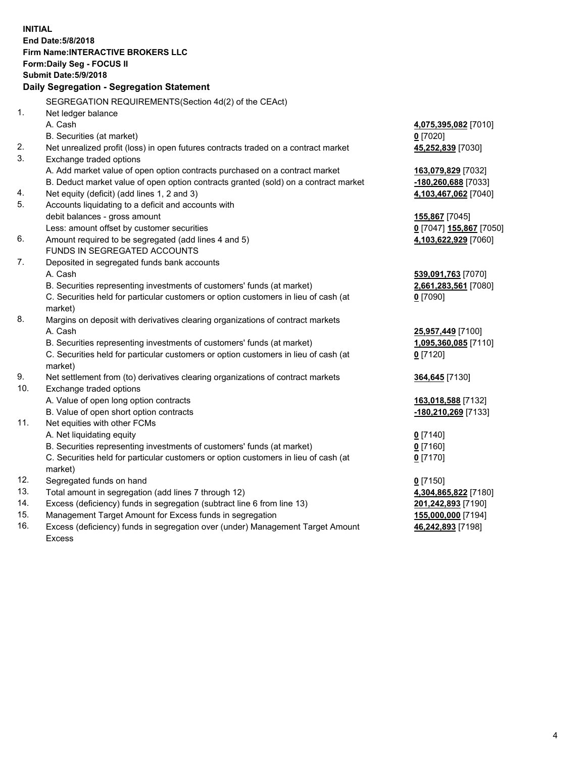**INITIAL End Date:5/8/2018 Firm Name:INTERACTIVE BROKERS LLC Form:Daily Seg - FOCUS II Submit Date:5/9/2018 Daily Segregation - Segregation Statement** SEGREGATION REQUIREMENTS(Section 4d(2) of the CEAct) 1. Net ledger balance A. Cash **4,075,395,082** [7010] B. Securities (at market) **0** [7020] 2. Net unrealized profit (loss) in open futures contracts traded on a contract market **45,252,839** [7030] 3. Exchange traded options A. Add market value of open option contracts purchased on a contract market **163,079,829** [7032] B. Deduct market value of open option contracts granted (sold) on a contract market **-180,260,688** [7033] 4. Net equity (deficit) (add lines 1, 2 and 3) **4,103,467,062** [7040] 5. Accounts liquidating to a deficit and accounts with debit balances - gross amount **155,867** [7045] Less: amount offset by customer securities **0** [7047] **155,867** [7050] 6. Amount required to be segregated (add lines 4 and 5) **4,103,622,929** [7060] FUNDS IN SEGREGATED ACCOUNTS 7. Deposited in segregated funds bank accounts A. Cash **539,091,763** [7070] B. Securities representing investments of customers' funds (at market) **2,661,283,561** [7080] C. Securities held for particular customers or option customers in lieu of cash (at market) **0** [7090] 8. Margins on deposit with derivatives clearing organizations of contract markets A. Cash **25,957,449** [7100] B. Securities representing investments of customers' funds (at market) **1,095,360,085** [7110] C. Securities held for particular customers or option customers in lieu of cash (at market) **0** [7120] 9. Net settlement from (to) derivatives clearing organizations of contract markets **364,645** [7130] 10. Exchange traded options A. Value of open long option contracts **163,018,588** [7132] B. Value of open short option contracts **-180,210,269** [7133] 11. Net equities with other FCMs A. Net liquidating equity **0** [7140] B. Securities representing investments of customers' funds (at market) **0** [7160] C. Securities held for particular customers or option customers in lieu of cash (at market) **0** [7170] 12. Segregated funds on hand **0** [7150] 13. Total amount in segregation (add lines 7 through 12) **4,304,865,822** [7180] 14. Excess (deficiency) funds in segregation (subtract line 6 from line 13) **201,242,893** [7190] 15. Management Target Amount for Excess funds in segregation **155,000,000** [7194] **46,242,893** [7198]

16. Excess (deficiency) funds in segregation over (under) Management Target Amount Excess